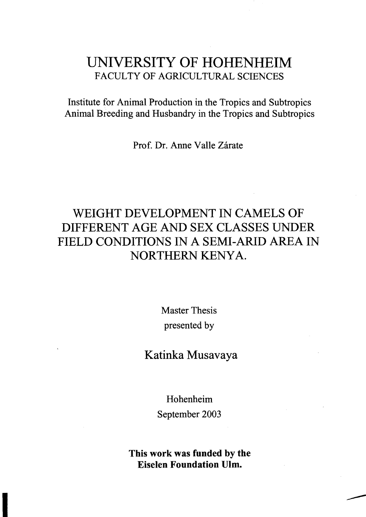## UNIVERSITY OF HOHENHEIM FACULTY OF AGRICULTURAL SCIENCES

Institute for Animal Production in the Tropics and Subtropics Animal Breeding and Husbandry in the Tropics and Subtropics

Prof. Dr. Anne Valle Zárate

## WEIGHT DEVELOPMENT IN CAMELS OF DIFFERENT AGE AND SEX CLASSES UNDER FIELD CONDITIONS IN A SEMI-ARID AREA IN NORTHERN KENYA.

Master Thesis presented by

Katinka Musavaya

Hohenheim September 2003

Tbis work was funded by tbe Eiselen Foundation Ulm.